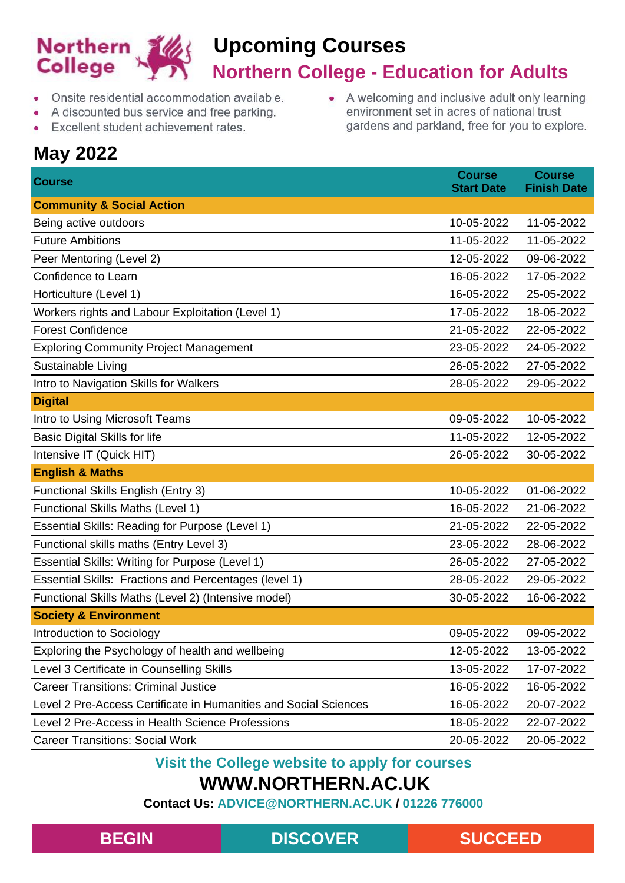

• A welcoming and inclusive adult only learning

environment set in acres of national trust gardens and parkland, free for you to explore.

- Onsite residential accommodation available.
- A discounted bus service and free parking.
- Excellent student achievement rates.

## **May 2022**

**Course Course Start Date Course Finish Date Community & Social Action** Being active outdoors **10-05-2022** 11-05-2022 Future Ambitions 11-05-2022 11-05-2022 Peer Mentoring (Level 2) 2008 2022 2022 12-05-2022 09-06-2022 Confidence to Learn 16-05-2022 17-05-2022 Horticulture (Level 1) 16-05-2022 25-05-2022 Workers rights and Labour Exploitation (Level 1) 17-05-2022 18-05-2022 Forest Confidence 21-05-2022 22-05-2022 Exploring Community Project Management 23-05-2022 24-05-2022 Sustainable Living 26-05-2022 27-05-2022 Intro to Navigation Skills for Walkers 28-05-2022 29-05-2022 29-05-2022 **Digital** Intro to Using Microsoft Teams 09-05-2022 10-05-2022 Basic Digital Skills for life 11-05-2022 12-05-2022 Intensive IT (Quick HIT) 26-05-2022 30-05-2022 **English & Maths** Functional Skills English (Entry 3) 10-05-2022 01-06-2022 Functional Skills Maths (Level 1) 16-05-2022 21-06-2022 Essential Skills: Reading for Purpose (Level 1) 21-05-2022 22-05-2022 Functional skills maths (Entry Level 3) 23-05-2022 28-06-2022 Essential Skills: Writing for Purpose (Level 1) 26-05-2022 27-05-2022 Essential Skills: Fractions and Percentages (level 1) 28-05-2022 29-05-2022 Functional Skills Maths (Level 2) (Intensive model) 30-05-2022 16-06-2022 **Society & Environment** Introduction to Sociology 09-05-2022 09-05-2022 Exploring the Psychology of health and wellbeing 12-05-2022 13-05-2022 13-05-2022 Level 3 Certificate in Counselling Skills 13-05-2022 17-07-2022 Career Transitions: Criminal Justice 16-05-2022 16-05-2022 Level 2 Pre-Access Certificate in Humanities and Social Sciences 16-05-2022 20-07-2022 Level 2 Pre-Access in Health Science Professions 18-05-2022 22-07-2022 Career Transitions: Social Work 20-05-2022 20-05-2022

#### **Visit the College website to apply for courses**

### **WWW.NORTHERN.AC.UK**

**Contact Us: ADVICE@NORTHERN.AC.UK / 01226 776000**

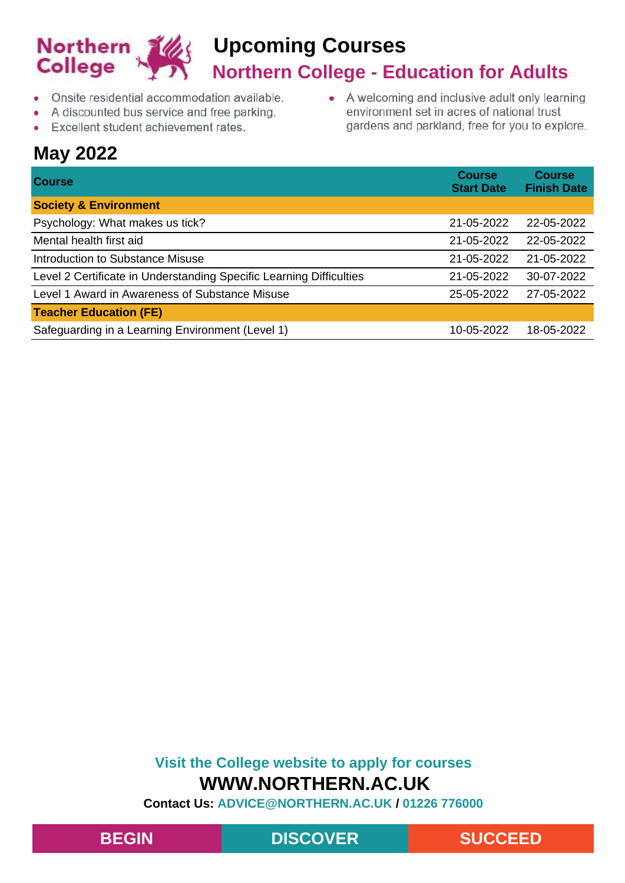

- Onsite residential accommodation available.  $\bullet$
- A discounted bus service and free parking.
- Excellent student achievement rates.  $\bullet$

## **May 2022**

| $\bullet$ | A welcoming and inclusive adult only learning  |
|-----------|------------------------------------------------|
|           | environment set in acres of national trust     |
|           | gardens and parkland, free for you to explore. |

| <b>Course</b>                                                       | <b>Course</b><br><b>Start Date</b> | <b>Course</b><br><b>Finish Date</b> |
|---------------------------------------------------------------------|------------------------------------|-------------------------------------|
| <b>Society &amp; Environment</b>                                    |                                    |                                     |
| Psychology: What makes us tick?                                     | 21-05-2022                         | 22-05-2022                          |
| Mental health first aid                                             | 21-05-2022                         | 22-05-2022                          |
| Introduction to Substance Misuse                                    | 21-05-2022                         | 21-05-2022                          |
| Level 2 Certificate in Understanding Specific Learning Difficulties | 21-05-2022                         | 30-07-2022                          |
| Level 1 Award in Awareness of Substance Misuse                      | 25-05-2022                         | 27-05-2022                          |
| <b>Teacher Education (FE)</b>                                       |                                    |                                     |
| Safeguarding in a Learning Environment (Level 1)                    | 10-05-2022                         | 18-05-2022                          |

### **Visit the College website to apply for courses WWW.NORTHERN.AC.UK**



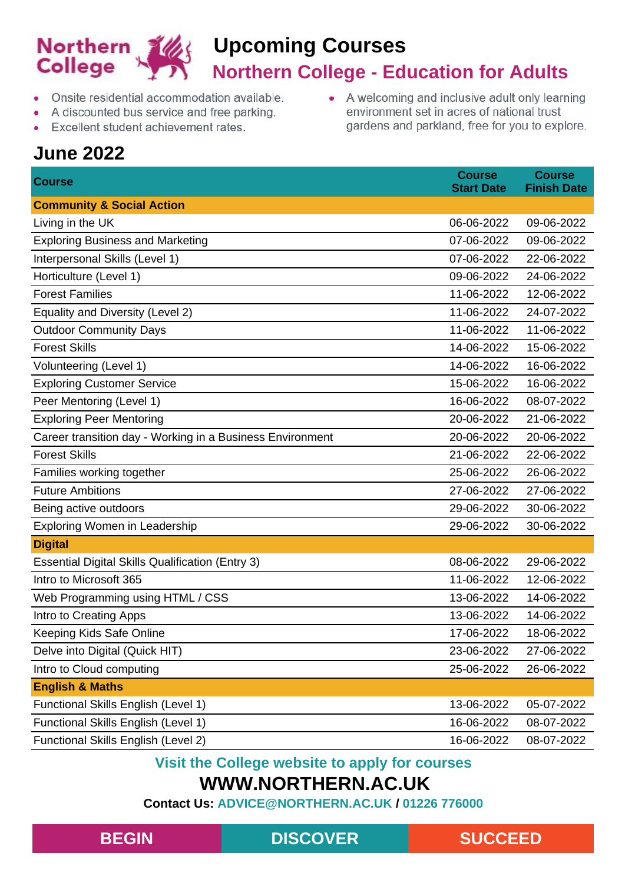

• A welcoming and inclusive adult only learning

environment set in acres of national trust gardens and parkland, free for you to explore.

- Onsite residential accommodation available.
- A discounted bus service and free parking.
- Excellent student achievement rates.

## **June 2022**

**Course Course Start Date Course Finish Date Community & Social Action** Living in the UK 06-06-2022 09-06-2022 Exploring Business and Marketing 07-06-2022 09-06-2022 Interpersonal Skills (Level 1) 07-06-2022 22-06-2022 Horticulture (Level 1) 09-06-2022 24-06-2022 Forest Families 11-06-2022 12-06-2022 Equality and Diversity (Level 2) 11-06-2022 24-07-2022 Outdoor Community Days 11-06-2022 11-06-2022 Forest Skills 14-06-2022 15-06-2022 Volunteering (Level 1) 14-06-2022 16-06-2022 Exploring Customer Service 15-06-2022 16-06-2022 16-06-2022 Peer Mentoring (Level 1) 2022 16-06-2022 08-07-2022 Exploring Peer Mentoring 20-06-2022 21-06-2022 Career transition day - Working in a Business Environment 20-06-2022 20-06-2022 Forest Skills 21-06-2022 22-06-2022 Families working together 25-06-2022 26-06-2022 Future Ambitions 27-06-2022 27-06-2022 Being active outdoors 29-06-2022 30-06-2022 Exploring Women in Leadership 29-06-2022 30-06-2022 **Digital** Essential Digital Skills Qualification (Entry 3) 08-06-2022 29-06-2022 Intro to Microsoft 365 11-06-2022 12-06-2022 Web Programming using HTML / CSS 13-06-2022 14-06-2022 Intro to Creating Apps 13-06-2022 14-06-2022 Keeping Kids Safe Online 17-06-2022 18-06-2022 Delve into Digital (Quick HIT) 23-06-2022 27-06-2022 Intro to Cloud computing 25-06-2022 26-06-2022 **English & Maths** Functional Skills English (Level 1) 13-06-2022 05-07-2022 Functional Skills English (Level 1) 16-06-2022 08-07-2022 Functional Skills English (Level 2) 16-06-2022 08-07-2022

**Visit the College website to apply for courses**

### **WWW.NORTHERN.AC.UK**

**Contact Us: ADVICE@NORTHERN.AC.UK / 01226 776000**

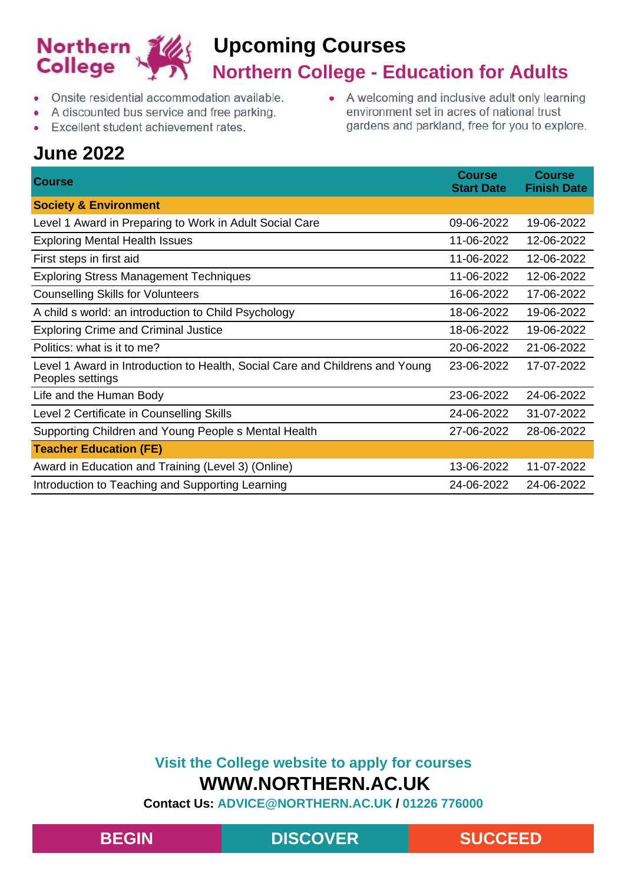

• A welcoming and inclusive adult only learning

environment set in acres of national trust gardens and parkland, free for you to explore.

- Onsite residential accommodation available.
- A discounted bus service and free parking.
- Excellent student achievement rates.

## **June 2022**

| <b>June 2022</b>                                                                                 |                                    |                                     |  |
|--------------------------------------------------------------------------------------------------|------------------------------------|-------------------------------------|--|
| <b>Course</b>                                                                                    | <b>Course</b><br><b>Start Date</b> | <b>Course</b><br><b>Finish Date</b> |  |
| <b>Society &amp; Environment</b>                                                                 |                                    |                                     |  |
| Level 1 Award in Preparing to Work in Adult Social Care                                          | 09-06-2022                         | 19-06-2022                          |  |
| <b>Exploring Mental Health Issues</b>                                                            | 11-06-2022                         | 12-06-2022                          |  |
| First steps in first aid                                                                         | 11-06-2022                         | 12-06-2022                          |  |
| <b>Exploring Stress Management Techniques</b>                                                    | 11-06-2022                         | 12-06-2022                          |  |
| <b>Counselling Skills for Volunteers</b>                                                         | 16-06-2022                         | 17-06-2022                          |  |
| A child s world: an introduction to Child Psychology                                             | 18-06-2022                         | 19-06-2022                          |  |
| <b>Exploring Crime and Criminal Justice</b>                                                      | 18-06-2022                         | 19-06-2022                          |  |
| Politics: what is it to me?                                                                      | 20-06-2022                         | 21-06-2022                          |  |
| Level 1 Award in Introduction to Health, Social Care and Childrens and Young<br>Peoples settings | 23-06-2022                         | 17-07-2022                          |  |
| Life and the Human Body                                                                          | 23-06-2022                         | 24-06-2022                          |  |
| Level 2 Certificate in Counselling Skills                                                        | 24-06-2022                         | 31-07-2022                          |  |
| Supporting Children and Young People s Mental Health                                             | 27-06-2022                         | 28-06-2022                          |  |
| <b>Teacher Education (FE)</b>                                                                    |                                    |                                     |  |
| Award in Education and Training (Level 3) (Online)                                               | 13-06-2022                         | 11-07-2022                          |  |
| Introduction to Teaching and Supporting Learning                                                 | 24-06-2022                         | 24-06-2022                          |  |

### **Visit the College website to apply for courses WWW.NORTHERN.AC.UK**

**Contact Us: ADVICE@NORTHERN.AC.UK / 01226 776000**

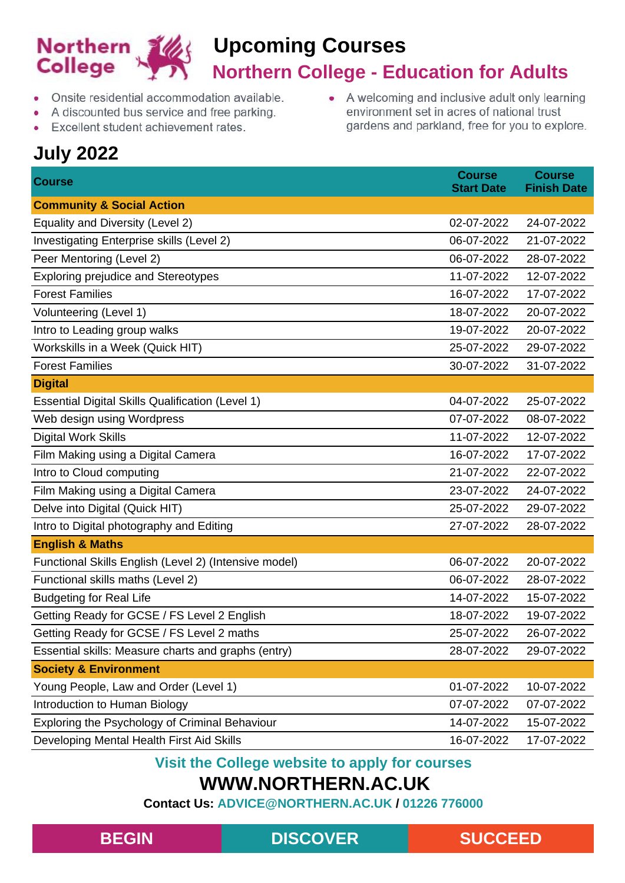

• A welcoming and inclusive adult only learning

environment set in acres of national trust gardens and parkland, free for you to explore.

- Onsite residential accommodation available.
- A discounted bus service and free parking.
- Excellent student achievement rates.

## **July 2022**

**Course Course Start Date Course Finish Date Community & Social Action** Equality and Diversity (Level 2) 02-07-2022 24-07-2022 Investigating Enterprise skills (Level 2) 06-07-2022 21-07-2022 Peer Mentoring (Level 2) 28-07-2022 28-07-2022 28-07-2022 Exploring prejudice and Stereotypes 11-07-2022 12-07-2022 Forest Families 16-07-2022 17-07-2022 Volunteering (Level 1) 18-07-2022 20-07-2022 Intro to Leading group walks 19-07-2022 20-07-2022 Workskills in a Week (Quick HIT) 25-07-2022 29-07-2022 Forest Families 30-07-2022 31-07-2022 **Digital** Essential Digital Skills Qualification (Level 1) 04-07-2022 25-07-2022 Web design using Wordpress 07-07-2022 08-07-2022 Digital Work Skills 11-07-2022 12-07-2022 Film Making using a Digital Camera 16-07-2022 17-07-2022 17-07-2022 Intro to Cloud computing 21-07-2022 22-07-2022 Film Making using a Digital Camera 23-07-2022 24-07-2022 Delve into Digital (Quick HIT) 25-07-2022 29-07-2022 Intro to Digital photography and Editing 27-07-2022 28-07-2022 28-07-2022 **English & Maths** Functional Skills English (Level 2) (Intensive model) 06-07-2022 20-07-2022 Functional skills maths (Level 2) 06-07-2022 28-07-2022 Budgeting for Real Life 14-07-2022 15-07-2022 Getting Ready for GCSE / FS Level 2 English 18-07-2022 19-07-2022 19-07-2022 Getting Ready for GCSE / FS Level 2 maths 25-07-2022 26-07-2022 Essential skills: Measure charts and graphs (entry) 28-07-2022 29-07-2022 **Society & Environment** Young People, Law and Order (Level 1) 01-07-2022 10-07-2022 Introduction to Human Biology 07-07-2022 07-07-2022 Exploring the Psychology of Criminal Behaviour 14-07-2022 15-07-2022 Developing Mental Health First Aid Skills 16-07-2022 17-07-2022

#### **Visit the College website to apply for courses**

### **WWW.NORTHERN.AC.UK**

**Contact Us: ADVICE@NORTHERN.AC.UK / 01226 776000**

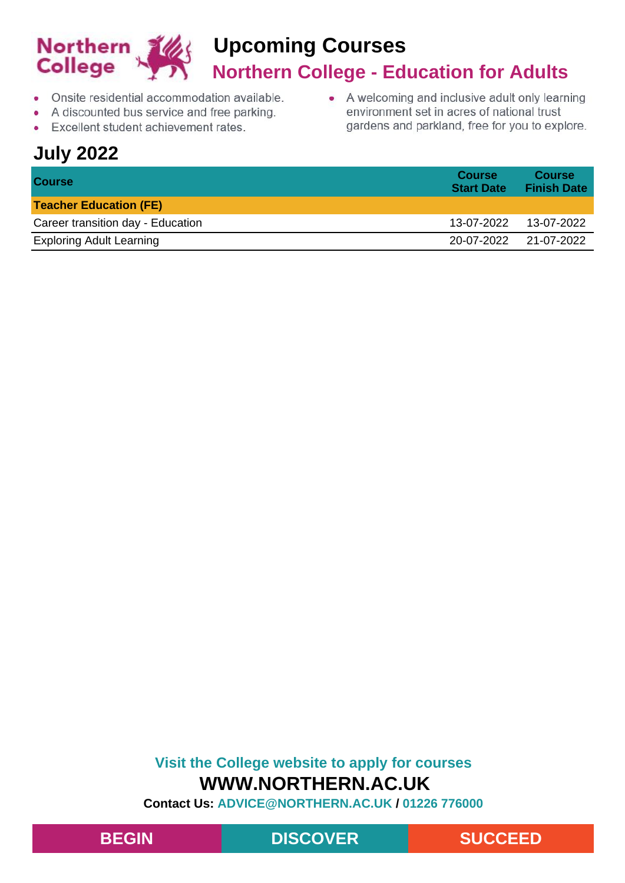

- Onsite residential accommodation available.  $\bullet$
- A discounted bus service and free parking.  $\bullet$
- Excellent student achievement rates.  $\bullet$

## **July 2022**

• A welcoming and inclusive adult only learning environment set in acres of national trust gardens and parkland, free for you to explore.

| <b>Course</b>                     | <b>Course</b><br><b>Start Date</b> | <b>Course</b><br><b>Finish Date</b> |
|-----------------------------------|------------------------------------|-------------------------------------|
| <b>Teacher Education (FE)</b>     |                                    |                                     |
| Career transition day - Education | 13-07-2022  13-07-2022             |                                     |
| <b>Exploring Adult Learning</b>   | 20-07-2022 21-07-2022              |                                     |

### **Visit the College website to apply for courses WWW.NORTHERN.AC.UK**



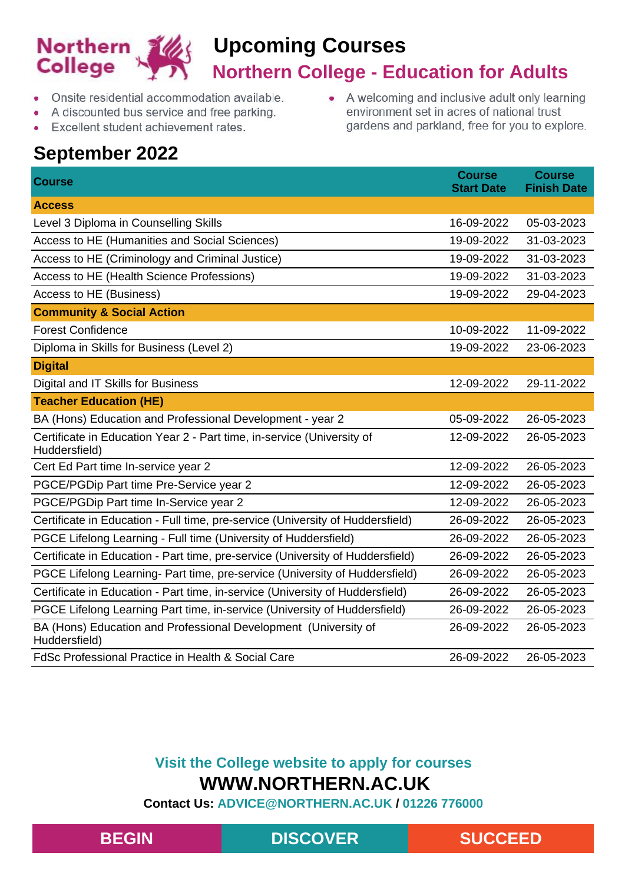

- Onsite residential accommodation available.
- A discounted bus service and free parking.  $\bullet$
- Excellent student achievement rates.  $\bullet$

## **September 2022**

• A welcoming and inclusive adult only learning environment set in acres of national trust gardens and parkland, free for you to explore.

| <b>Course</b>                                                                           | <b>Course</b><br><b>Start Date</b> | <b>Course</b><br><b>Finish Date</b> |
|-----------------------------------------------------------------------------------------|------------------------------------|-------------------------------------|
| <b>Access</b>                                                                           |                                    |                                     |
| Level 3 Diploma in Counselling Skills                                                   | 16-09-2022                         | 05-03-2023                          |
| Access to HE (Humanities and Social Sciences)                                           | 19-09-2022                         | 31-03-2023                          |
| Access to HE (Criminology and Criminal Justice)                                         | 19-09-2022                         | 31-03-2023                          |
| Access to HE (Health Science Professions)                                               | 19-09-2022                         | 31-03-2023                          |
| Access to HE (Business)                                                                 | 19-09-2022                         | 29-04-2023                          |
| <b>Community &amp; Social Action</b>                                                    |                                    |                                     |
| <b>Forest Confidence</b>                                                                | 10-09-2022                         | 11-09-2022                          |
| Diploma in Skills for Business (Level 2)                                                | 19-09-2022                         | 23-06-2023                          |
| <b>Digital</b>                                                                          |                                    |                                     |
| Digital and IT Skills for Business                                                      | 12-09-2022                         | 29-11-2022                          |
| <b>Teacher Education (HE)</b>                                                           |                                    |                                     |
| BA (Hons) Education and Professional Development - year 2                               | 05-09-2022                         | 26-05-2023                          |
| Certificate in Education Year 2 - Part time, in-service (University of<br>Huddersfield) | 12-09-2022                         | 26-05-2023                          |
| Cert Ed Part time In-service year 2                                                     | 12-09-2022                         | 26-05-2023                          |
| PGCE/PGDip Part time Pre-Service year 2                                                 | 12-09-2022                         | 26-05-2023                          |
| PGCE/PGDip Part time In-Service year 2                                                  | 12-09-2022                         | 26-05-2023                          |
| Certificate in Education - Full time, pre-service (University of Huddersfield)          | 26-09-2022                         | 26-05-2023                          |
| PGCE Lifelong Learning - Full time (University of Huddersfield)                         | 26-09-2022                         | 26-05-2023                          |
| Certificate in Education - Part time, pre-service (University of Huddersfield)          | 26-09-2022                         | 26-05-2023                          |
| PGCE Lifelong Learning- Part time, pre-service (University of Huddersfield)             | 26-09-2022                         | 26-05-2023                          |
| Certificate in Education - Part time, in-service (University of Huddersfield)           | 26-09-2022                         | 26-05-2023                          |
| PGCE Lifelong Learning Part time, in-service (University of Huddersfield)               | 26-09-2022                         | 26-05-2023                          |
| BA (Hons) Education and Professional Development (University of<br>Huddersfield)        | 26-09-2022                         | 26-05-2023                          |
| <b>FdSc Professional Practice in Health &amp; Social Care</b>                           | 26-09-2022                         | 26-05-2023                          |

### **Visit the College website to apply for courses WWW.NORTHERN.AC.UK**

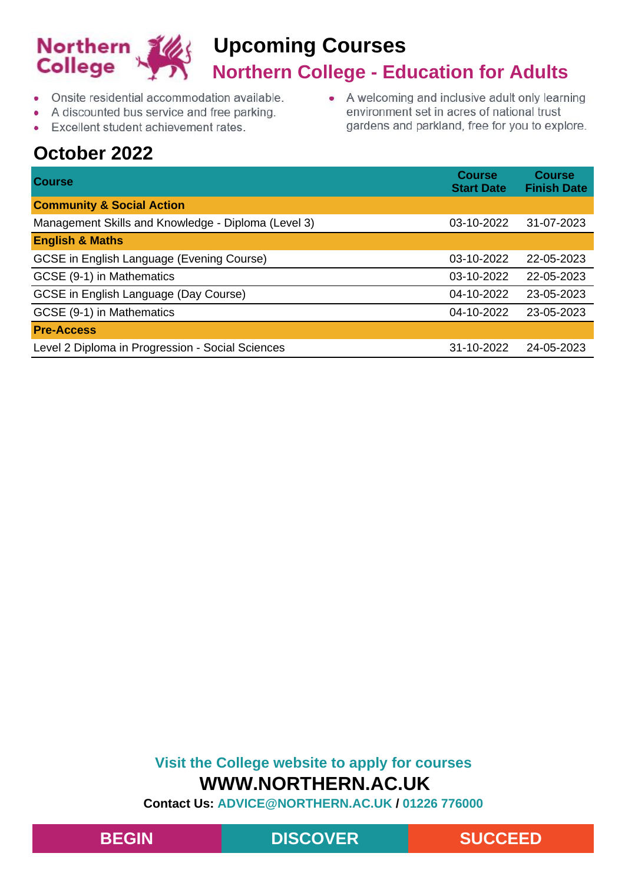

- Onsite residential accommodation available.
- A discounted bus service and free parking.  $\bullet$
- Excellent student achievement rates.  $\bullet$

## **October 2022**

• A welcoming and inclusive adult only learning environment set in acres of national trust gardens and parkland, free for you to explore.

| <b>Course</b>                                       | <b>Course</b><br><b>Start Date</b> | <b>Course</b><br><b>Finish Date</b> |
|-----------------------------------------------------|------------------------------------|-------------------------------------|
| <b>Community &amp; Social Action</b>                |                                    |                                     |
| Management Skills and Knowledge - Diploma (Level 3) | 03-10-2022                         | 31-07-2023                          |
| <b>English &amp; Maths</b>                          |                                    |                                     |
| GCSE in English Language (Evening Course)           | 03-10-2022                         | 22-05-2023                          |
| GCSE (9-1) in Mathematics                           | 03-10-2022                         | 22-05-2023                          |
| GCSE in English Language (Day Course)               | 04-10-2022                         | 23-05-2023                          |
| GCSE (9-1) in Mathematics                           | 04-10-2022                         | 23-05-2023                          |
| <b>Pre-Access</b>                                   |                                    |                                     |
| Level 2 Diploma in Progression - Social Sciences    | 31-10-2022                         | 24-05-2023                          |

### **Visit the College website to apply for courses WWW.NORTHERN.AC.UK**

**Contact Us: ADVICE@NORTHERN.AC.UK / 01226 776000**